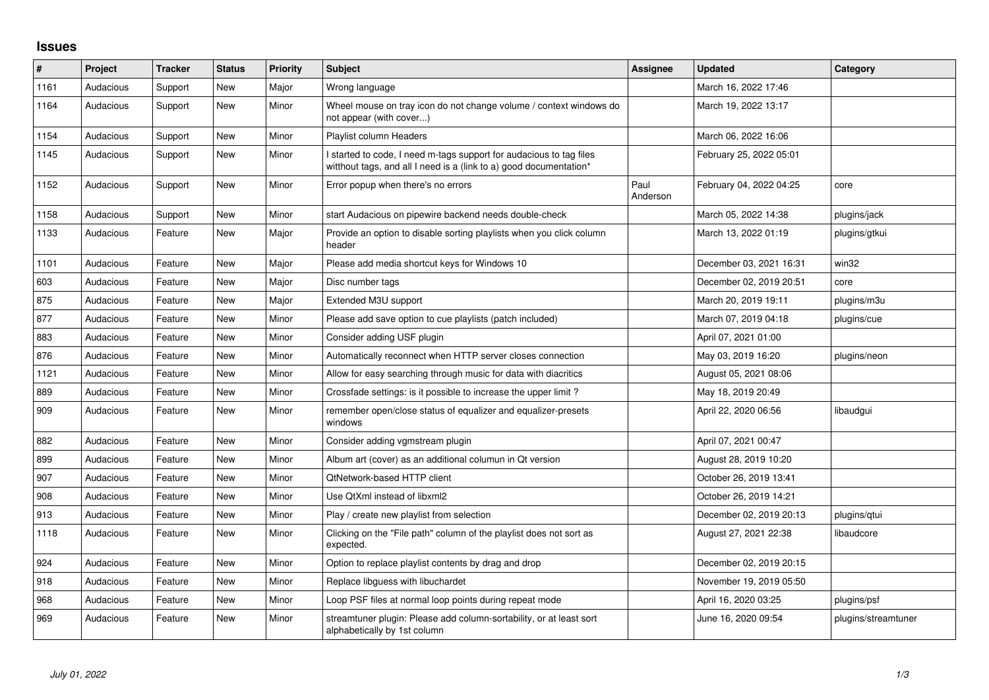## **Issues**

| #    | <b>Project</b> | <b>Tracker</b> | <b>Status</b> | <b>Priority</b> | <b>Subject</b>                                                                                                                            | Assignee         | <b>Updated</b>          | Category            |
|------|----------------|----------------|---------------|-----------------|-------------------------------------------------------------------------------------------------------------------------------------------|------------------|-------------------------|---------------------|
| 1161 | Audacious      | Support        | New           | Major           | Wrong language                                                                                                                            |                  | March 16, 2022 17:46    |                     |
| 1164 | Audacious      | Support        | <b>New</b>    | Minor           | Wheel mouse on tray icon do not change volume / context windows do<br>not appear (with cover)                                             |                  | March 19, 2022 13:17    |                     |
| 1154 | Audacious      | Support        | <b>New</b>    | Minor           | Playlist column Headers                                                                                                                   |                  | March 06, 2022 16:06    |                     |
| 1145 | Audacious      | Support        | New           | Minor           | I started to code, I need m-tags support for audacious to tag files<br>witthout tags, and all I need is a (link to a) good documentation* |                  | February 25, 2022 05:01 |                     |
| 1152 | Audacious      | Support        | New           | Minor           | Error popup when there's no errors                                                                                                        | Paul<br>Anderson | February 04, 2022 04:25 | core                |
| 1158 | Audacious      | Support        | New           | Minor           | start Audacious on pipewire backend needs double-check                                                                                    |                  | March 05, 2022 14:38    | plugins/jack        |
| 1133 | Audacious      | Feature        | New           | Major           | Provide an option to disable sorting playlists when you click column<br>header                                                            |                  | March 13, 2022 01:19    | plugins/gtkui       |
| 1101 | Audacious      | Feature        | New           | Major           | Please add media shortcut keys for Windows 10                                                                                             |                  | December 03, 2021 16:31 | win32               |
| 603  | Audacious      | Feature        | New           | Major           | Disc number tags                                                                                                                          |                  | December 02, 2019 20:51 | core                |
| 875  | Audacious      | Feature        | New           | Major           | Extended M3U support                                                                                                                      |                  | March 20, 2019 19:11    | plugins/m3u         |
| 877  | Audacious      | Feature        | <b>New</b>    | Minor           | Please add save option to cue playlists (patch included)                                                                                  |                  | March 07, 2019 04:18    | plugins/cue         |
| 883  | Audacious      | Feature        | New           | Minor           | Consider adding USF plugin                                                                                                                |                  | April 07, 2021 01:00    |                     |
| 876  | Audacious      | Feature        | New           | Minor           | Automatically reconnect when HTTP server closes connection                                                                                |                  | May 03, 2019 16:20      | plugins/neon        |
| 1121 | Audacious      | Feature        | New           | Minor           | Allow for easy searching through music for data with diacritics                                                                           |                  | August 05, 2021 08:06   |                     |
| 889  | Audacious      | Feature        | New           | Minor           | Crossfade settings: is it possible to increase the upper limit?                                                                           |                  | May 18, 2019 20:49      |                     |
| 909  | Audacious      | Feature        | New           | Minor           | remember open/close status of equalizer and equalizer-presets<br>windows                                                                  |                  | April 22, 2020 06:56    | libaudgui           |
| 882  | Audacious      | Feature        | New           | Minor           | Consider adding vgmstream plugin                                                                                                          |                  | April 07, 2021 00:47    |                     |
| 899  | Audacious      | Feature        | New           | Minor           | Album art (cover) as an additional columun in Qt version                                                                                  |                  | August 28, 2019 10:20   |                     |
| 907  | Audacious      | Feature        | New           | Minor           | QtNetwork-based HTTP client                                                                                                               |                  | October 26, 2019 13:41  |                     |
| 908  | Audacious      | Feature        | <b>New</b>    | Minor           | Use QtXml instead of libxml2                                                                                                              |                  | October 26, 2019 14:21  |                     |
| 913  | Audacious      | Feature        | New           | Minor           | Play / create new playlist from selection                                                                                                 |                  | December 02, 2019 20:13 | plugins/gtui        |
| 1118 | Audacious      | Feature        | New           | Minor           | Clicking on the "File path" column of the playlist does not sort as<br>expected.                                                          |                  | August 27, 2021 22:38   | libaudcore          |
| 924  | Audacious      | Feature        | New           | Minor           | Option to replace playlist contents by drag and drop                                                                                      |                  | December 02, 2019 20:15 |                     |
| 918  | Audacious      | Feature        | <b>New</b>    | Minor           | Replace libguess with libuchardet                                                                                                         |                  | November 19, 2019 05:50 |                     |
| 968  | Audacious      | Feature        | New           | Minor           | Loop PSF files at normal loop points during repeat mode                                                                                   |                  | April 16, 2020 03:25    | plugins/psf         |
| 969  | Audacious      | Feature        | <b>New</b>    | Minor           | streamtuner plugin: Please add column-sortability, or at least sort<br>alphabetically by 1st column                                       |                  | June 16, 2020 09:54     | plugins/streamtuner |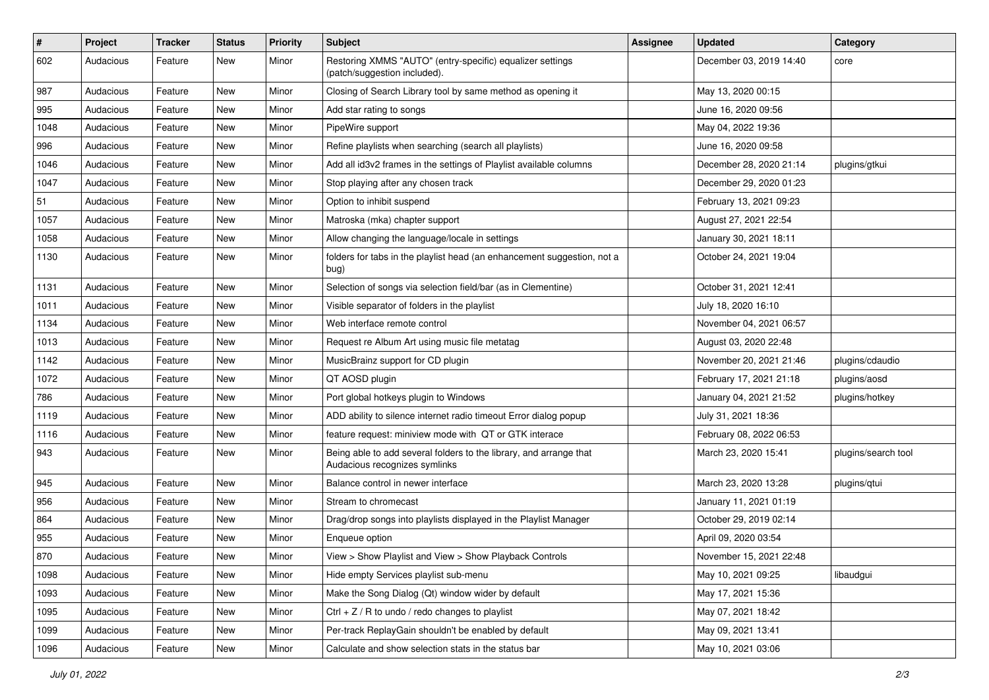| $\vert$ # | Project   | Tracker | <b>Status</b> | <b>Priority</b> | <b>Subject</b>                                                                                      | <b>Assignee</b> | <b>Updated</b>          | Category            |
|-----------|-----------|---------|---------------|-----------------|-----------------------------------------------------------------------------------------------------|-----------------|-------------------------|---------------------|
| 602       | Audacious | Feature | New           | Minor           | Restoring XMMS "AUTO" (entry-specific) equalizer settings<br>(patch/suggestion included).           |                 | December 03, 2019 14:40 | core                |
| 987       | Audacious | Feature | New           | Minor           | Closing of Search Library tool by same method as opening it                                         |                 | May 13, 2020 00:15      |                     |
| 995       | Audacious | Feature | New           | Minor           | Add star rating to songs                                                                            |                 | June 16, 2020 09:56     |                     |
| 1048      | Audacious | Feature | <b>New</b>    | Minor           | PipeWire support                                                                                    |                 | May 04, 2022 19:36      |                     |
| 996       | Audacious | Feature | New           | Minor           | Refine playlists when searching (search all playlists)                                              |                 | June 16, 2020 09:58     |                     |
| 1046      | Audacious | Feature | New           | Minor           | Add all id3v2 frames in the settings of Playlist available columns                                  |                 | December 28, 2020 21:14 | plugins/gtkui       |
| 1047      | Audacious | Feature | New           | Minor           | Stop playing after any chosen track                                                                 |                 | December 29, 2020 01:23 |                     |
| 51        | Audacious | Feature | New           | Minor           | Option to inhibit suspend                                                                           |                 | February 13, 2021 09:23 |                     |
| 1057      | Audacious | Feature | <b>New</b>    | Minor           | Matroska (mka) chapter support                                                                      |                 | August 27, 2021 22:54   |                     |
| 1058      | Audacious | Feature | New           | Minor           | Allow changing the language/locale in settings                                                      |                 | January 30, 2021 18:11  |                     |
| 1130      | Audacious | Feature | New           | Minor           | folders for tabs in the playlist head (an enhancement suggestion, not a<br>bug)                     |                 | October 24, 2021 19:04  |                     |
| 1131      | Audacious | Feature | <b>New</b>    | Minor           | Selection of songs via selection field/bar (as in Clementine)                                       |                 | October 31, 2021 12:41  |                     |
| 1011      | Audacious | Feature | <b>New</b>    | Minor           | Visible separator of folders in the playlist                                                        |                 | July 18, 2020 16:10     |                     |
| 1134      | Audacious | Feature | New           | Minor           | Web interface remote control                                                                        |                 | November 04, 2021 06:57 |                     |
| 1013      | Audacious | Feature | New           | Minor           | Request re Album Art using music file metatag                                                       |                 | August 03, 2020 22:48   |                     |
| 1142      | Audacious | Feature | <b>New</b>    | Minor           | MusicBrainz support for CD plugin                                                                   |                 | November 20, 2021 21:46 | plugins/cdaudio     |
| 1072      | Audacious | Feature | New           | Minor           | QT AOSD plugin                                                                                      |                 | February 17, 2021 21:18 | plugins/aosd        |
| 786       | Audacious | Feature | New           | Minor           | Port global hotkeys plugin to Windows                                                               |                 | January 04, 2021 21:52  | plugins/hotkey      |
| 1119      | Audacious | Feature | New           | Minor           | ADD ability to silence internet radio timeout Error dialog popup                                    |                 | July 31, 2021 18:36     |                     |
| 1116      | Audacious | Feature | New           | Minor           | feature request: miniview mode with QT or GTK interace                                              |                 | February 08, 2022 06:53 |                     |
| 943       | Audacious | Feature | New           | Minor           | Being able to add several folders to the library, and arrange that<br>Audacious recognizes symlinks |                 | March 23, 2020 15:41    | plugins/search tool |
| 945       | Audacious | Feature | New           | Minor           | Balance control in newer interface                                                                  |                 | March 23, 2020 13:28    | plugins/qtui        |
| 956       | Audacious | Feature | New           | Minor           | Stream to chromecast                                                                                |                 | January 11, 2021 01:19  |                     |
| 864       | Audacious | Feature | New           | Minor           | Drag/drop songs into playlists displayed in the Playlist Manager                                    |                 | October 29, 2019 02:14  |                     |
| 955       | Audacious | Feature | New           | Minor           | Enqueue option                                                                                      |                 | April 09, 2020 03:54    |                     |
| 870       | Audacious | Feature | New           | Minor           | View > Show Playlist and View > Show Playback Controls                                              |                 | November 15, 2021 22:48 |                     |
| 1098      | Audacious | Feature | New           | Minor           | Hide empty Services playlist sub-menu                                                               |                 | May 10, 2021 09:25      | libaudgui           |
| 1093      | Audacious | Feature | New           | Minor           | Make the Song Dialog (Qt) window wider by default                                                   |                 | May 17, 2021 15:36      |                     |
| 1095      | Audacious | Feature | New           | Minor           | Ctrl + $Z$ / R to undo / redo changes to playlist                                                   |                 | May 07, 2021 18:42      |                     |
| 1099      | Audacious | Feature | New           | Minor           | Per-track ReplayGain shouldn't be enabled by default                                                |                 | May 09, 2021 13:41      |                     |
| 1096      | Audacious | Feature | New           | Minor           | Calculate and show selection stats in the status bar                                                |                 | May 10, 2021 03:06      |                     |